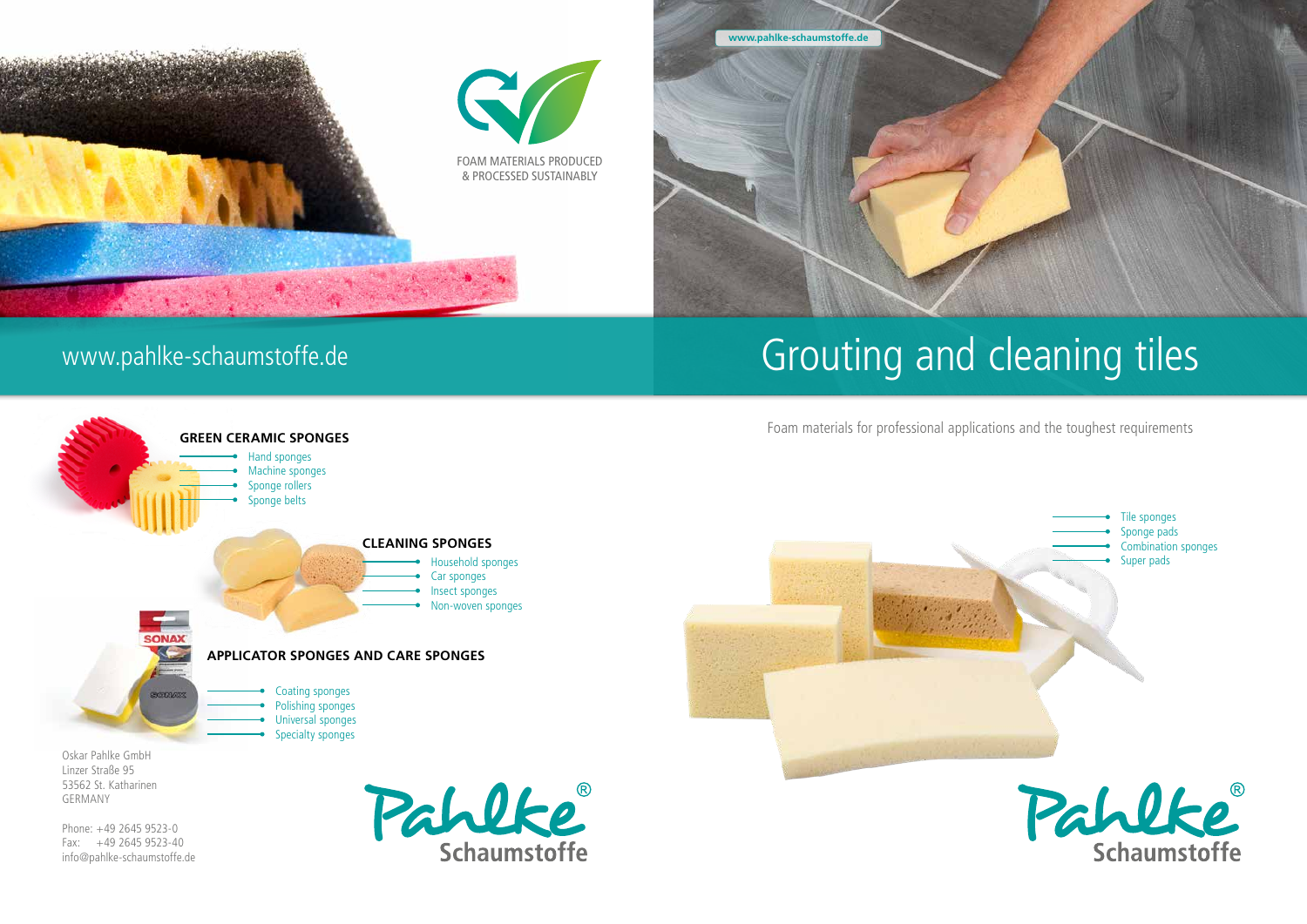

Foam materials for professional applications and the toughest requirements

**www.pahlke-schaumstoffe.de**

# www.pahlke-schaumstoffe.de



Phone: +49 2645 9523-0 Fax: +49 2645 9523-40 info@pahlke-schaumstoffe.de